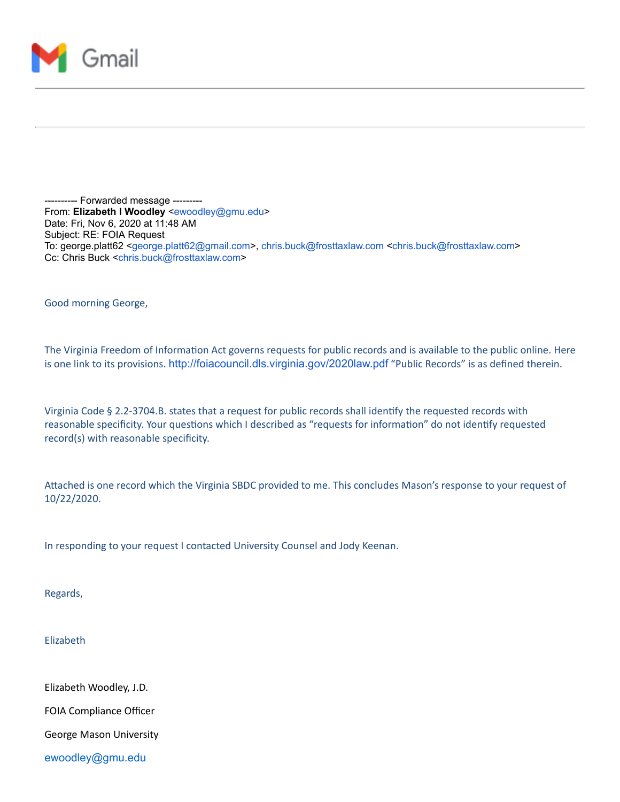

-- Forwarded message ---------From: **Elizabeth I Woodley** <[ewoodley@gmu.edu>](mailto:ewoodley@gmu.edu) Date: Fri, Nov 6, 2020 at 11:48 AM Subject: RE: FOIA Request To: george.platt62 [<george.platt62@gmail.com](mailto:george.platt62@gmail.com)>, [chris.buck@frosttaxlaw.com](mailto:chris.buck@frosttaxlaw.com) <[chris.buck@frosttaxlaw.com](mailto:chris.buck@frosttaxlaw.com)> Cc: Chris Buck <[chris.buck@frosttaxlaw.com](mailto:chris.buck@frosttaxlaw.com)>

Good morning George,

The Virginia Freedom of Information Act governs requests for public records and is available to the public online. Here is one link to its provisions. <http://foiacouncil.dls.virginia.gov/2020law.pdf> "Public Records" is as defined therein.

Virginia Code § 2.2-3704.B. states that a request for public records shall identify the requested records with reasonable specificity. Your questions which I described as "requests for information" do not identify requested record(s) with reasonable specificity.

Attached is one record which the Virginia SBDC provided to me. This concludes Mason's response to your request of 10/22/2020.

In responding to your request I contacted University Counsel and Jody Keenan.

Regards,

Elizabeth

Elizabeth Woodley, J.D.

FOIA Compliance Officer

George Mason University

[ewoodley@gmu.edu](mailto:ewoodley@gmu.edu)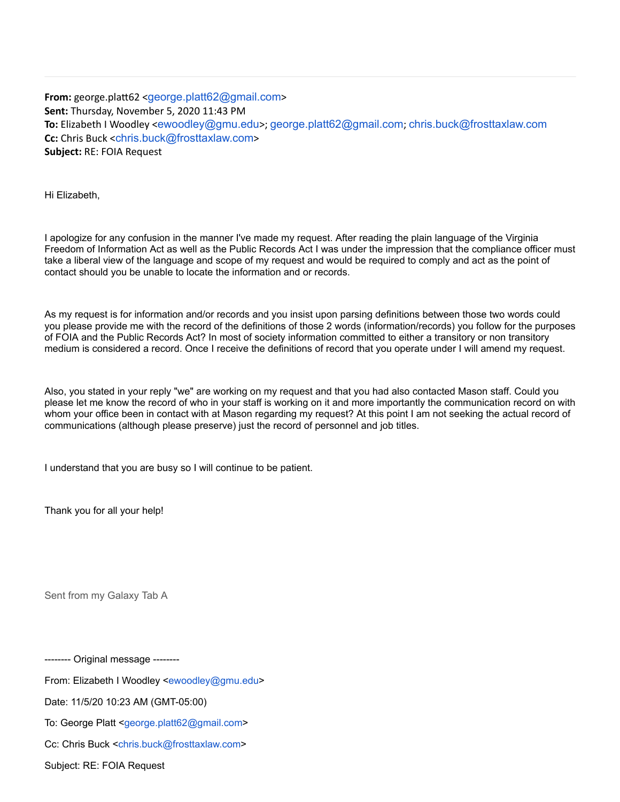**From:** george.platt62 <[george.platt62@gmail.com](mailto:george.platt62@gmail.com)> **Sent:** Thursday, November 5, 2020 11:43 PM **To:** Elizabeth I Woodley <[ewoodley@gmu.edu](mailto:ewoodley@gmu.edu)>; [george.platt62@gmail.com](mailto:george.platt62@gmail.com); [chris.buck@frosttaxlaw.com](mailto:chris.buck@frosttaxlaw.com) **Cc:** Chris Buck <[chris.buck@frosttaxlaw.com](mailto:chris.buck@frosttaxlaw.com)> **Subject:** RE: FOIA Request

Hi Elizabeth,

I apologize for any confusion in the manner I've made my request. After reading the plain language of the Virginia Freedom of Information Act as well as the Public Records Act I was under the impression that the compliance officer must take a liberal view of the language and scope of my request and would be required to comply and act as the point of contact should you be unable to locate the information and or records.

As my request is for information and/or records and you insist upon parsing definitions between those two words could you please provide me with the record of the definitions of those 2 words (information/records) you follow for the purposes of FOIA and the Public Records Act? In most of society information committed to either a transitory or non transitory medium is considered a record. Once I receive the definitions of record that you operate under I will amend my request.

Also, you stated in your reply "we" are working on my request and that you had also contacted Mason staff. Could you please let me know the record of who in your staff is working on it and more importantly the communication record on with whom your office been in contact with at Mason regarding my request? At this point I am not seeking the actual record of communications (although please preserve) just the record of personnel and job titles.

I understand that you are busy so I will continue to be patient.

Thank you for all your help!

Sent from my Galaxy Tab A

-------- Original message --------

From: Elizabeth I Woodley [<ewoodley@gmu.edu>](mailto:ewoodley@gmu.edu)

Date: 11/5/20 10:23 AM (GMT-05:00)

To: George Platt <[george.platt62@gmail.com>](mailto:george.platt62@gmail.com)

Cc: Chris Buck <[chris.buck@frosttaxlaw.com](mailto:chris.buck@frosttaxlaw.com)>

Subject: RE: FOIA Request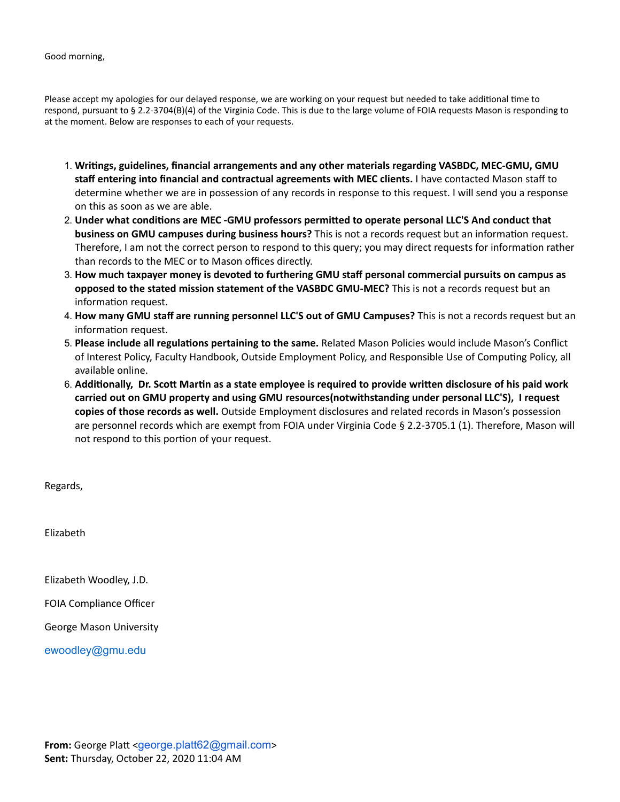Good morning,

Please accept my apologies for our delayed response, we are working on your request but needed to take additional time to respond, pursuant to § 2.2-3704(B)(4) of the Virginia Code. This is due to the large volume of FOIA requests Mason is responding to at the moment. Below are responses to each of your requests.

- 1. **Writings, guidelines, financial arrangements and any other materials regarding VASBDC, MEC-GMU, GMU staff entering into financial and contractual agreements with MEC clients.** I have contacted Mason staff to determine whether we are in possession of any records in response to this request. I will send you a response on this as soon as we are able.
- 2. **Under what conditions are MEC -GMU professors permitted to operate personal LLC'S And conduct that business on GMU campuses during business hours?** This is not a records request but an information request. Therefore, I am not the correct person to respond to this query; you may direct requests for information rather than records to the MEC or to Mason offices directly.
- 3. **How much taxpayer money is devoted to furthering GMU staff personal commercial pursuits on campus as opposed to the stated mission statement of the VASBDC GMU-MEC?** This is not a records request but an information request.
- 4. **How many GMU staff are running personnel LLC'S out of GMU Campuses?** This is not a records request but an information request.
- 5. **Please include all regulations pertaining to the same.** Related Mason Policies would include Mason's Conflict of Interest Policy, Faculty Handbook, Outside Employment Policy, and Responsible Use of Computing Policy, all available online.
- 6. **Additionally, Dr. Scott Martin as a state employee is required to provide written disclosure of his paid work carried out on GMU property and using GMU resources(notwithstanding under personal LLC'S), I request copies of those records as well.** Outside Employment disclosures and related records in Mason's possession are personnel records which are exempt from FOIA under Virginia Code § 2.2-3705.1 (1). Therefore, Mason will not respond to this portion of your request.

Regards,

Elizabeth

Elizabeth Woodley, J.D.

FOIA Compliance Officer

George Mason University

[ewoodley@gmu.edu](mailto:ewoodley@gmu.edu)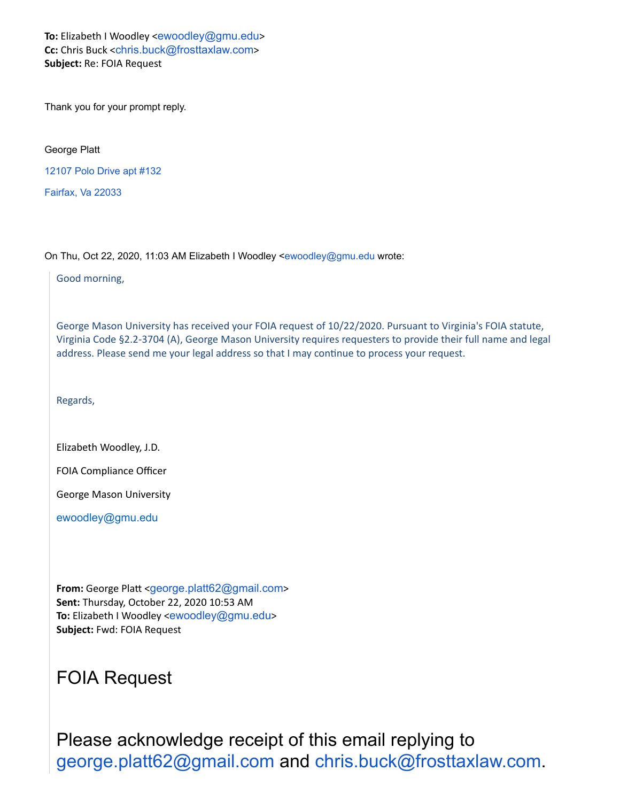**To:** Elizabeth I Woodley <[ewoodley@gmu.edu](mailto:ewoodley@gmu.edu)> **Cc:** Chris Buck <[chris.buck@frosttaxlaw.com](mailto:chris.buck@frosttaxlaw.com)> **Subject:** Re: FOIA Request

Thank you for your prompt reply.

George Platt

[12107 Polo Drive apt #132](https://www.google.com/maps/search/12107+Polo+Drive+apt+%23132+%0D%0A+%0D%0A+%0D%0A+Fairfax,+Va+22033?entry=gmail&source=g)

[Fairfax, Va 22033](https://www.google.com/maps/search/12107+Polo+Drive+apt+%23132+%0D%0A+%0D%0A+%0D%0A+Fairfax,+Va+22033?entry=gmail&source=g)

On Thu, Oct 22, 2020, 11:03 AM Elizabeth I Woodley [<ewoodley@gmu.edu](mailto:ewoodley@gmu.edu) wrote:

Good morning,

George Mason University has received your FOIA request of 10/22/2020. Pursuant to Virginia's FOIA statute, Virginia Code §2.2-3704 (A), George Mason University requires requesters to provide their full name and legal address. Please send me your legal address so that I may continue to process your request.

Regards,

Elizabeth Woodley, J.D.

FOIA Compliance Officer

George Mason University

[ewoodley@gmu.edu](mailto:ewoodley@gmu.edu)

**From:** George Platt <[george.platt62@gmail.com](mailto:george.platt62@gmail.com)> **Sent:** Thursday, October 22, 2020 10:53 AM To: Elizabeth I Woodley <[ewoodley@gmu.edu](mailto:ewoodley@gmu.edu)> **Subject:** Fwd: FOIA Request

## FOIA Request

Please acknowledge receipt of this email replying to [george.platt62@gmail.com](mailto:george.platt62@gmail.com) and [chris.buck@frosttaxlaw.com](mailto:chris.buck@frosttaxlaw.com).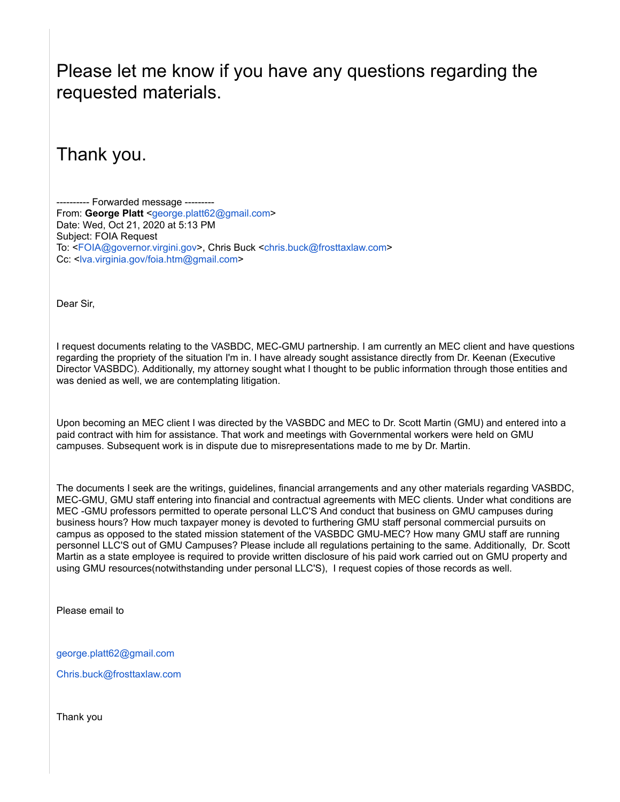## Please let me know if you have any questions regarding the requested materials.

Thank you.

---------- Forwarded message --------- From: **George Platt** [<george.platt62@gmail.com>](mailto:george.platt62@gmail.com) Date: Wed, Oct 21, 2020 at 5:13 PM Subject: FOIA Request To: [<FOIA@governor.virgini.gov>](mailto:FOIA@governor.virgini.gov), Chris Buck <[chris.buck@frosttaxlaw.com>](mailto:chris.buck@frosttaxlaw.com) Cc: [<lva.virginia.gov/foia.htm@gmail.com](http://lva.virginia.gov/foia.htm@gmail.com)>

Dear Sir,

I request documents relating to the VASBDC, MEC-GMU partnership. I am currently an MEC client and have questions regarding the propriety of the situation I'm in. I have already sought assistance directly from Dr. Keenan (Executive Director VASBDC). Additionally, my attorney sought what I thought to be public information through those entities and was denied as well, we are contemplating litigation.

Upon becoming an MEC client I was directed by the VASBDC and MEC to Dr. Scott Martin (GMU) and entered into a paid contract with him for assistance. That work and meetings with Governmental workers were held on GMU campuses. Subsequent work is in dispute due to misrepresentations made to me by Dr. Martin.

The documents I seek are the writings, guidelines, financial arrangements and any other materials regarding VASBDC, MEC-GMU, GMU staff entering into financial and contractual agreements with MEC clients. Under what conditions are MEC -GMU professors permitted to operate personal LLC'S And conduct that business on GMU campuses during business hours? How much taxpayer money is devoted to furthering GMU staff personal commercial pursuits on campus as opposed to the stated mission statement of the VASBDC GMU-MEC? How many GMU staff are running personnel LLC'S out of GMU Campuses? Please include all regulations pertaining to the same. Additionally, Dr. Scott Martin as a state employee is required to provide written disclosure of his paid work carried out on GMU property and using GMU resources(notwithstanding under personal LLC'S), I request copies of those records as well.

Please email to

[george.platt62@gmail.com](mailto:george.platt62@gmail.com)

[Chris.buck@frosttaxlaw.com](mailto:Chris.buck@frosttaxlaw.com)

Thank you